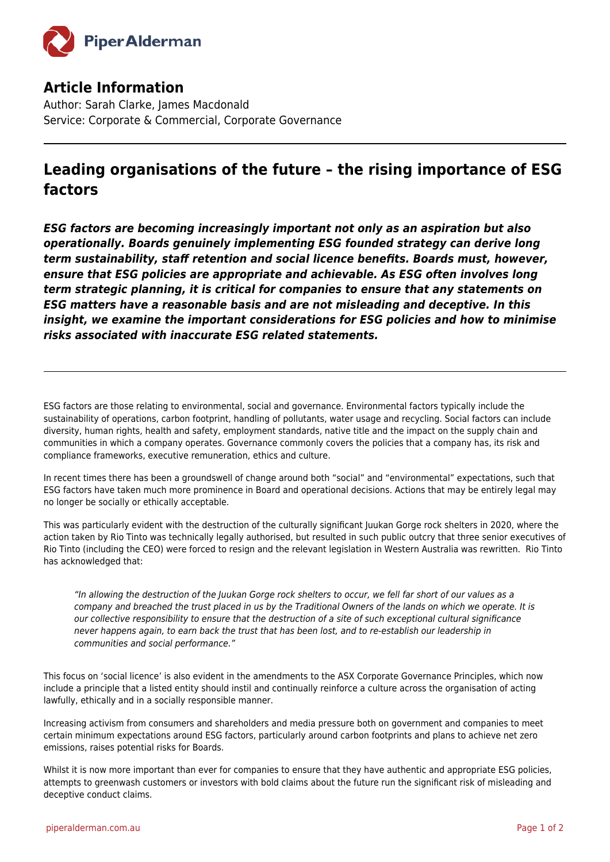

## **Article Information**

Author: Sarah Clarke, James Macdonald Service: Corporate & Commercial, Corporate Governance

## **Leading organisations of the future – the rising importance of ESG factors**

*ESG factors are becoming increasingly important not only as an aspiration but also operationally. Boards genuinely implementing ESG founded strategy can derive long term sustainability, staff retention and social licence benefits. Boards must, however, ensure that ESG policies are appropriate and achievable. As ESG often involves long term strategic planning, it is critical for companies to ensure that any statements on ESG matters have a reasonable basis and are not misleading and deceptive. In this insight, we examine the important considerations for ESG policies and how to minimise risks associated with inaccurate ESG related statements.*

ESG factors are those relating to environmental, social and governance. Environmental factors typically include the sustainability of operations, carbon footprint, handling of pollutants, water usage and recycling. Social factors can include diversity, human rights, health and safety, employment standards, native title and the impact on the supply chain and communities in which a company operates. Governance commonly covers the policies that a company has, its risk and compliance frameworks, executive remuneration, ethics and culture.

In recent times there has been a groundswell of change around both "social" and "environmental" expectations, such that ESG factors have taken much more prominence in Board and operational decisions. Actions that may be entirely legal may no longer be socially or ethically acceptable.

This was particularly evident with the destruction of the culturally significant Juukan Gorge rock shelters in 2020, where the action taken by Rio Tinto was technically legally authorised, but resulted in such public outcry that three senior executives of Rio Tinto (including the CEO) were forced to resign and the relevant legislation in Western Australia was rewritten. Rio Tinto has acknowledged that:

"In allowing the destruction of the Juukan Gorge rock shelters to occur, we fell far short of our values as a company and breached the trust placed in us by the Traditional Owners of the lands on which we operate. It is our collective responsibility to ensure that the destruction of a site of such exceptional cultural significance never happens again, to earn back the trust that has been lost, and to re-establish our leadership in communities and social performance."

This focus on 'social licence' is also evident in the amendments to the ASX Corporate Governance Principles, which now include a principle that a listed entity should instil and continually reinforce a culture across the organisation of acting lawfully, ethically and in a socially responsible manner.

Increasing activism from consumers and shareholders and media pressure both on government and companies to meet certain minimum expectations around ESG factors, particularly around carbon footprints and plans to achieve net zero emissions, raises potential risks for Boards.

Whilst it is now more important than ever for companies to ensure that they have authentic and appropriate ESG policies, attempts to greenwash customers or investors with bold claims about the future run the significant risk of misleading and deceptive conduct claims.